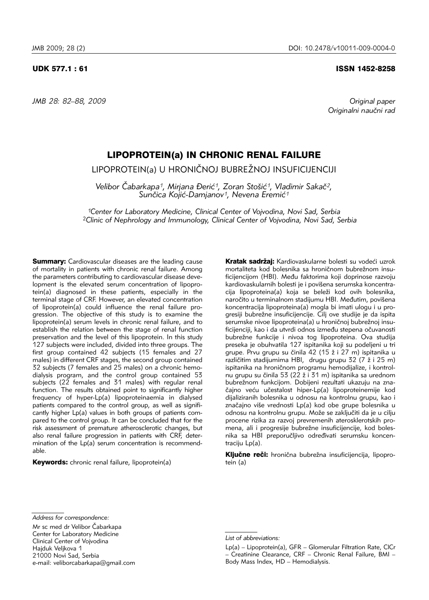*JMB 28: 82–88, 2009 Original paper*

### UDK 577.1 : 61 ISSN 1452-8258

*Originalni nau~ni rad*

# LIPOPROTEIN(a) IN CHRONIC RENAL FAILURE

LIPOPROTEIN(a) U HRONIČNOJ BUBREŽNOJ INSUFICIJENCIJI

*Velibor ^abarkapa1, Mirjana \eri}1, Zoran Sto{i}1, Vladimir Saka~2,*  Sunčica Kojić-Damjanov<sup>1</sup>, Nevena Eremić<sup>1</sup>

*1Center for Laboratory Medicine, Clinical Center of Vojvodina, Novi Sad, Serbia* <sup>2</sup>*Clinic of Nephrology and Immunology, Clinical Center of Vojvodina, Novi Sad, Serbia*

**Summary:** Cardiovascular diseases are the leading cause of mortality in patients with chronic renal failure. Among the parameters contributing to cardiovascular disease development is the elevated serum concentration of lipoprotein(a) diagnosed in these patients, especially in the terminal stage of CRF. However, an elevated concentration of lipoprotein(a) could influence the renal failure progression. The objective of this study is to examine the lipoprotein(a) serum levels in chronic renal failure, and to establish the relation between the stage of renal function preservation and the level of this lipoprotein. In this study 127 subjects were included, divided into three groups. The first group contained 42 subjects (15 females and 27 males) in different CRF stages, the second group contained  $32$  subjects (7 females and  $25$  males) on a chronic hemodialysis program, and the control group contained 53 subjects (22 females and 31 males) with regular renal function. The results obtained point to significantly higher frequency of hyper-Lp(a) lipoproteinaemia in dialysed patients compared to the control group, as well as significantly higher Lp(a) values in both groups of patients compared to the control group. It can be concluded that for the risk assessment of premature atherosclerotic changes, but also renal failure progression in patients with CRF, determination of the  $Lp(a)$  serum concentration is recommendable.

Keywords: chronic renal failure, lipoprotein(a)

Kratak sadržaj: Kardiovaskularne bolesti su vodeći uzrok mortaliteta kod bolesnika sa hroničnom bubrežnom insuficijencijom (HBI). Među faktorima koji doprinose razvoju kardiovaskularnih bolesti je i povišena serumska koncentracija lipoproteina(a) koja se beleži kod ovih bolesnika, naročito u terminalnom stadijumu HBI. Međutim, povišena koncentracija lipoproteina(a) mogla bi imati ulogu i u progresiji bubrežne insuficijencije. Cilj ove studije je da ispita serumske nivoe lipoproteina(a) u hroničnoj bubrežnoj insuficijenciji, kao i da utvrdi odnos između stepena očuvanosti bubrežne funkcije i nivoa tog lipoproteina. Ova studija preseka je obuhvatila 127 ispitanika koji su podeljeni u tri grupe. Prvu grupu su činila 42 (15 ž i 27 m) ispitanika u različitim stadijumima HBI, drugu grupu 32 (7 ž i 25 m) ispitanika na hroničnom programu hemodijalize, i kontrolnu grupu su činila 53 (22 ž i 31 m) ispitanika sa urednom bubrežnom funkcijom. Dobijeni rezultati ukazuju na značajno veću učestalost hiper-Lp(a) lipoproteinemije kod dijaliziranih bolesnika u odnosu na kontrolnu grupu, kao i značajno više vrednosti Lp(a) kod obe grupe bolesnika u odnosu na kontrolnu grupu. Može se zaključiti da je u cilju procene rizika za razvoj prevremenih aterosklerotskih promena, ali i progresije bubrežne insuficijencije, kod bolesnika sa HBI preporučljivo određivati serumsku koncentraciju Lp(a).

Ključne reči: hronična bubrežna insuficijencija, lipoprotein (a)

Mr sc med dr Velibor Čabarkapa Center for Laboratory Medicine Clinical Center of Vojvodina Haiduk Velikova 1 21000 Novi Sad, Serbia e-mail: veliborcabarkapa@gmail.com

*Address for correspondence:*

*List of abbreviations:*

Lp(a) – Lipoprotein(a), GFR – Glomerular Filtration Rate, ClCr – Creatinine Clearance, CRF – Chronic Renal Failure, BMI – Body Mass Index, HD – Hemodialysis.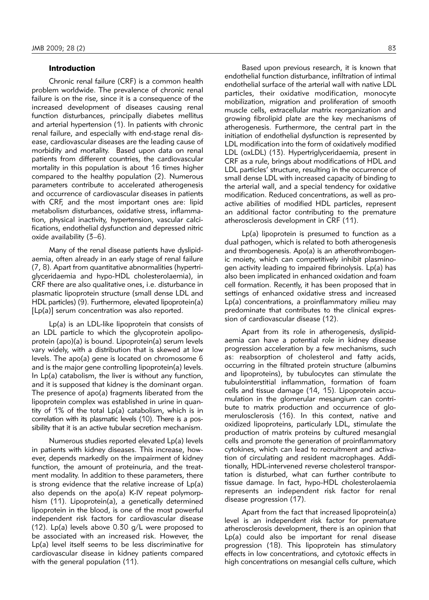# Introduction

Chronic renal failure (CRF) is a common health problem worldwide. The prevalence of chronic renal failure is on the rise, since it is a consequence of the increased development of diseases causing renal function disturbances, principally diabetes mellitus and arterial hypertension (1). In patients with chronic renal failure, and especially with end-stage renal disease, cardiovascular diseases are the leading cause of morbidity and mortality. Based upon data on renal patients from different countries, the cardiovascular mortality in this population is about 16 times higher compared to the healthy population (2). Numerous parameters contribute to accelerated atherogenesis and occurrence of cardiovascular diseases in patients with CRF, and the most important ones are: lipid metabolism disturbances, oxidative stress, inflammation, physical inactivity, hypertension, vascular calcifications, endothelial dysfunction and depressed nitric oxide availability  $(3-6)$ .

Many of the renal disease patients have dyslipidaemia, often already in an early stage of renal failure (7, 8). Apart from quantitative abnormalities (hypertri glyceridaemia and hypo-HDL cholesterolaemia), in CRF there are also qualitative ones, i.e. disturbance in plasmatic lipoprotein structure (small dense LDL and HDL particles) (9). Furthermore, elevated lipoprotein(a)  $[Lp(a)]$  serum concentration was also reported.

Lp(a) is an LDL-like lipoprotein that consists of an LDL particle to which the glycoprotein apolipoprotein (apo)(a) is bound. Lipoprotein(a) serum levels vary widely, with a distribution that is skewed at low levels. The apo(a) gene is located on chromosome 6 and is the major gene controlling lipoprotein(a) levels. In Lp(a) catabolism, the liver is without any function, and it is supposed that kidney is the dominant organ. The presence of  $apo(a)$  fragments liberated from the lipo protein complex was established in urine in quantity of  $1\%$  of the total  $Lp(a)$  catabolism, which is in correlation with its plasmatic levels (10). There is a possibility that it is an active tubular secretion mechanism.

Numerous studies reported elevated Lp(a) levels in patients with kidney diseases. This increase, however, depends markedly on the impairment of kidney function, the amount of proteinuria, and the treatment modality. In addition to these parameters, there is strong evidence that the relative increase of Lp(a) also depends on the apo(a) K-IV repeat polymorphism (11). Lipoprotein(a), a genetically determined lipoprotein in the blood, is one of the most powerful independent risk factors for cardiovascular disease (12). Lp(a) levels above 0.30 g/L were proposed to be associated with an increased risk. However, the Lp(a) level itself seems to be less discriminative for cardiovascular disease in kidney patients compared with the general population (11).

Based upon previous research, it is known that endothelial function disturbance, infiltration of intimal endothelial surface of the arterial wall with native LDL particles, their oxidative modification, monocyte mobilization, migration and proliferation of smooth muscle cells, extracellular matrix reorganization and growing fibrolipid plate are the key mechanisms of atherogenesis. Furthermore, the central part in the initiation of endothelial dysfunction is represented by LDL modification into the form of oxidatively modified LDL (oxLDL) (13). Hypertriglyceridaemia, present in CRF as a rule, brings about modifications of HDL and LDL particles' structure, resulting in the occurrence of small dense LDL with increased capacity of binding to the arterial wall, and a special tendency for oxidative modification. Reduced concentrations, as well as proactive abilities of modified HDL particles, represent an additional factor contributing to the premature atherosclerosis development in CRF (11).

Lp(a) lipoprotein is presumed to function as a dual pathogen, which is related to both atherogenesis and thrombogenesis. Apo(a) is an atherothrombogenic moiety, which can competitively inhibit plasminogen activity leading to impaired fibrinolysis. Lp(a) has also been implicated in enhanced oxidation and foam cell formation. Recently, it has been proposed that in settings of enhanced oxidative stress and increased Lp(a) concentrations, a proinflammatory milieu may predominate that contributes to the clinical expression of cardiovascular disease (12).

Apart from its role in atherogenesis, dyslipidaemia can have a potential role in kidney disease progression acceleration by a few mechanisms, such as: reabsorption of cholesterol and fatty acids, occurring in the filtrated protein structure (albumins and lipoproteins), by tubulocytes can stimulate the tubulointerstitial inflammation, formation of foam cells and tissue damage (14, 15). Lipoprotein accumulation in the glomerular mesangium can contribute to matrix production and occurrence of glomerulosclerosis (16). In this context, native and oxidized lipoproteins, particularly LDL, stimulate the production of matrix proteins by cultured mesangial cells and promote the generation of proinflammatory cytokines, which can lead to recruitment and activation of circulating and resident macrophages. Additionally, HDL-intervened reverse cholesterol transportation is disturbed, what can further contribute to tissue damage. In fact, hypo-HDL cholesterolaemia represents an independent risk factor for renal disease progression (17).

Apart from the fact that increased lipoprotein(a) level is an independent risk factor for premature atherosclerosis development, there is an opinion that Lp(a) could also be important for renal disease progression (18). This lipoprotein has stimulatory effects in low concentrations, and cytotoxic effects in high concentrations on mesangial cells culture, which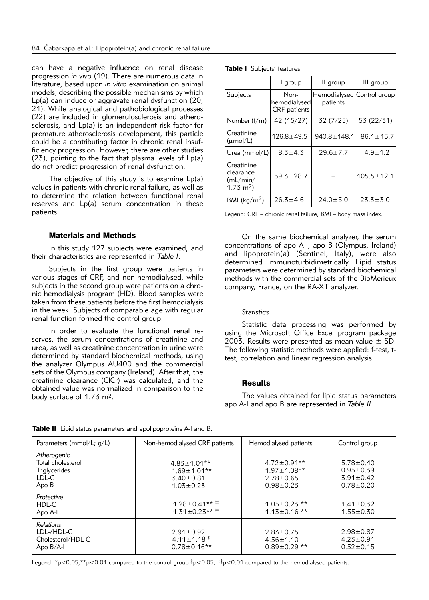can have a negative influence on renal disease progression *in vivo* (19). There are numerous data in literature, based upon *in vitro* examination on animal models, describing the possible mechanisms by which Lp(a) can induce or aggravate renal dysfunction (20, 21). While analogical and pathobiological processes (22) are included in glomerulosclerosis and atherosclerosis, and Lp(a) is an independent risk factor for premature atherosclerosis development, this particle could be a contributing factor in chronic renal insufficiency progression. However, there are other studies (23), pointing to the fact that plasma levels of Lp(a) do not predict progression of renal dysfunction.

The objective of this study is to examine Lp(a) values in patients with chronic renal failure, as well as to determine the relation between functional renal reserves and Lp(a) serum concentration in these patients.

# Materials and Methods

In this study 127 subjects were examined, and their characteristics are represented in *Table I*.

Subjects in the first group were patients in various stages of CRF, and non-hemodialysed, while subjects in the second group were patients on a chronic hemodialysis program (HD). Blood samples were taken from these patients before the first hemodialysis in the week. Subjects of comparable age with regular renal function formed the control group.

In order to evaluate the functional renal reserves, the serum concentrations of creatinine and urea, as well as creatinine concentration in urine were determined by standard biochemical methods, using the analyzer Olympus AU400 and the commercial sets of the Olympus company (Ireland). After that, the creatinine clearance (ClCr) was calculated, and the obtained value was normalized in comparison to the body surface of 1.73 m2.

|  | Table I Subjects' features. |  |
|--|-----------------------------|--|
|--|-----------------------------|--|

|                                                           | I group                                     | II group                               | III group        |
|-----------------------------------------------------------|---------------------------------------------|----------------------------------------|------------------|
| Subjects                                                  | Non-<br>hemodialysed<br><b>CRF</b> patients | Hemodialysed Control group<br>patients |                  |
| Number $(f/m)$                                            | 42 (15/27)                                  | 32(7/25)                               | 53 (22/31)       |
| Creatinine<br>$(\mu \text{mol/L})$                        | $126.8 + 49.5$                              | 940.8±148.1                            | $86.1 \pm 15.7$  |
| Urea (mmol/L)                                             | $8.3 + 4.3$                                 | $29.6 \pm 7.7$                         | $4.9 \pm 1.2$    |
| Creatinine<br>clearance<br>(mL/min/<br>$1.73 \text{ m}^2$ | $59.3 \pm 28.7$                             |                                        | $105.5 \pm 12.1$ |
| BMI ( $\text{kg}/\text{m}^2$ )                            | $26.3 \pm 4.6$                              | $24.0 \pm 5.0$                         | $23.3 \pm 5.0$   |

Legend: CRF – chronic renal failure, BMI – body mass index.

On the same biochemical analyzer, the serum concentrations of apo A-I, apo B (Olympus, Ireland) and lipoprotein(a) (Sentinel, Italy), were also determined immunoturbidimetrically. Lipid status parameters were determined by standard biochemical methods with the commercial sets of the BioMerieux company, France, on the RA-XT analyzer.

#### *Statistics*

Statistic data processing was performed by using the Microsoft Office Excel program package 2003. Results were presented as mean value  $\pm$  SD. The following statistic methods were applied: f-test, ttest, correlation and linear regression analysis.

## **Results**

The values obtained for lipid status parameters apo A-I and apo B are represented in *Table II*.

| Table II Lipid status parameters and apolipoproteins A-I and B. |  |  |  |
|-----------------------------------------------------------------|--|--|--|
|-----------------------------------------------------------------|--|--|--|

| Parameters (mmol/L; $q/L$ )                                                | Non-hemodialysed CRF patients                                                | Hemodialysed patients                                                         | Control group                                                          |
|----------------------------------------------------------------------------|------------------------------------------------------------------------------|-------------------------------------------------------------------------------|------------------------------------------------------------------------|
| Atherogenic<br>Total cholesterol<br><b>Triglycerides</b><br>LDL-C<br>Apo B | $4.83 \pm 1.01**$<br>$1.69 \pm 1.01**$<br>$3.40 \pm 0.81$<br>$1.03 \pm 0.23$ | $4.72 \pm 0.91**$<br>$1.97 \pm 1.08$ **<br>$2.78 \pm 0.65$<br>$0.98 \pm 0.23$ | $5.78 \pm 0.40$<br>$0.95 \pm 0.39$<br>$3.91 \pm 0.42$<br>$0.78 + 0.20$ |
| Protective<br>HDL-C<br>Apo A-I                                             | $1.28 \pm 0.41***$ <sup>##</sup><br>$1.31 + 0.23***$                         | $1.05 \pm 0.23$ **<br>$1.13 \pm 0.16$ **                                      | $1.41 \pm 0.32$<br>$1.55 \pm 0.30$                                     |
| <b>Relations</b><br>LDL-/HDL-C<br>Cholesterol/HDL-C<br>Apo $B/A-I$         | $2.91 \pm 0.92$<br>$4.11 \pm 1.18$ <sup>#</sup><br>$0.78 \pm 0.16**$         | $2.83 \pm 0.75$<br>$4.56 \pm 1.10$<br>$0.89 \pm 0.29$ **                      | $2.98 \pm 0.87$<br>$4.23 \pm 0.91$<br>$0.52 \pm 0.15$                  |

Legend: \*p<0.05,\*\*p<0.01 compared to the control group  $\frac{1}{4}p<0.05$ ,  $\frac{1}{4}p<0.01$  compared to the hemodialysed patients.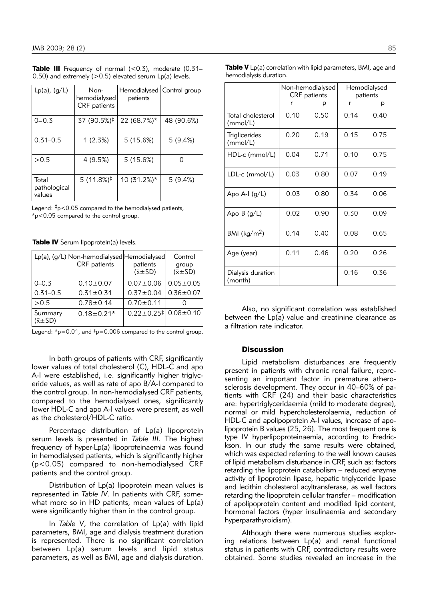| $Lp(a)$ , $(g/L)$               | Non-<br>hemodialysed<br>CRF patients | Hemodialysed<br>patients | Control group |
|---------------------------------|--------------------------------------|--------------------------|---------------|
| $0 - 0.3$                       | 37 (90.5%)‡                          | 22 (68.7%)*              | 48 (90.6%)    |
| $0.31 - 0.5$                    | 1(2.3%)                              | 5(15.6%)                 | 5(9.4%)       |
| > 0.5                           | 4 (9.5%)                             | 5(15.6%)                 | ∩             |
| Total<br>pathological<br>values | $5(11.8\%)^{\ddagger}$               | 10 (31.2%)*              | 5(9.4%)       |

Table III Frequency of normal  $(< 0.3)$ , moderate  $(0.31 -$ 0.50) and extremely  $(>0.5)$  elevated serum  $Lp(a)$  levels.

Legend:  $\frac{1}{2}p < 0.05$  compared to the hemodialysed patients, \*p<0.05 compared to the control group.

| Table IV Serum lipoprotein(a) levels. |  |
|---------------------------------------|--|
|---------------------------------------|--|

|                               | Lp(a), (g/L) Non-hemodialysed Hemodialysed<br><b>CRF</b> patients | patients<br>$(\bar{x} \pm SD)$                                   | Control<br>group<br>$(\bar{x} \pm SD)$ |
|-------------------------------|-------------------------------------------------------------------|------------------------------------------------------------------|----------------------------------------|
| $0 - 0.3$                     | $0.10 \pm 0.07$                                                   | $0.07 + 0.06$                                                    | $0.05 \pm 0.05$                        |
| $0.31 - 0.5$                  | $0.31 \pm 0.31$                                                   | $0.37 \pm 0.04$                                                  | $0.36 \pm 0.07$                        |
| >0.5                          | $0.78 \pm 0.14$                                                   | $0.70 \pm 0.11$                                                  |                                        |
| Summary<br>$(\bar{x} \pm SD)$ | $0.18 \pm 0.21*$                                                  | $0.22 \pm 0.25$ <sup><math>\ddagger</math></sup> 0.08 $\pm$ 0.10 |                                        |

Legend:  $\text{*}p=0.01$ , and  $\text{*}p=0.006$  compared to the control group.

In both groups of patients with CRF, significantly lower values of total cholesterol (C), HDL-C and apo A-I were established, i.e. significantly higher triglyceride values, as well as rate of apo B/A-I compared to the control group. In non-hemodialysed CRF patients, compared to the hemodialysed ones, significantly lower HDL-C and apo A-I values were present, as well as the cholesterol/HDL-C ratio.

Percentage distribution of Lp(a) lipoprotein serum levels is presented in *Table III*. The highest frequency of hyper-Lp(a) lipoproteinaemia was found in hemodialysed patients, which is significantly higher  $(p<0.05)$  compared to non-hemodialysed CRF patients and the control group.

Distribution of Lp(a) lipoprotein mean values is represented in *Table IV*. In patients with CRF, somewhat more so in HD patients, mean values of Lp(a) were significantly higher than in the control group.

In *Table V*, the correlation of Lp(a) with lipid parameters, BMI, age and dialysis treatment duration is represented. There is no significant correlation between Lp(a) serum levels and lipid status parameters, as well as BMI, age and dialysis duration.

|                               | Non-hemodialysed<br><b>CRF</b> patients |      | Hemodialysed<br>patients |      |
|-------------------------------|-----------------------------------------|------|--------------------------|------|
|                               | r                                       | р    | r                        | р    |
| Total cholesterol<br>(mmol/L) | 0.10                                    | 0.50 | 0.14                     | 0.40 |
| Triglicerides<br>(mmol/L)     | 0.20                                    | 0.19 | 0.15                     | 0.75 |
| $HDL-c$ (mmol/L)              | 0.04                                    | 0.71 | 0.10                     | 0.75 |
| $LDL-c (mmol/L)$              | 0.03                                    | 0.80 | 0.07                     | 0.19 |
| Apo A-I $(g/L)$               | 0.03                                    | 0.80 | 0.34                     | 0.06 |
| Apo $B(q/L)$                  | 0.02                                    | 0.90 | 0.30                     | 0.09 |
| BMI ( $kg/m2$ )               | 0.14                                    | 0.40 | 0.08                     | 0.65 |
| Age (year)                    | 0.11                                    | 0.46 | 0.20                     | 0.26 |
| Dialysis duration<br>(month)  |                                         |      | 0.16                     | 0.36 |

Table V Lp(a) correlation with lipid parameters, BMI, age and

hemodialysis duration.

Also, no significant correlation was established between the Lp(a) value and creatinine clearance as a filtration rate indicator.

# **Discussion**

Lipid metabolism disturbances are frequently present in patients with chronic renal failure, representing an important factor in premature atherosclerosis development. They occur in 40–60% of patients with CRF (24) and their basic characteristics are: hypertriglyceridaemia (mild to moderate degree), normal or mild hypercholesterolaemia, reduction of HDL-C and apolipoprotein A-I values, increase of apolipoprotein B values (25, 26). The most frequent one is type IV hyperlipoproteinaemia, according to Fredrickson. In our study the same results were obtained, which was expected referring to the well known causes of lipid metabolism disturbance in CRF, such as: factors retarding the lipoprotein catabolism – reduced enzyme activity of lipoprotein lipase, hepatic triglyceride lipase and lecithin cholesterol acyltransferase, as well factors retarding the lipoprotein cellular transfer – modification of apolipoprotein content and modified lipid content, hormonal factors (hyper insulinaemia and secondary hyperparathyroidism).

Although there were numerous studies exploring relations between Lp(a) and renal functional status in patients with CRF, contradictory results were obtained. Some studies revealed an increase in the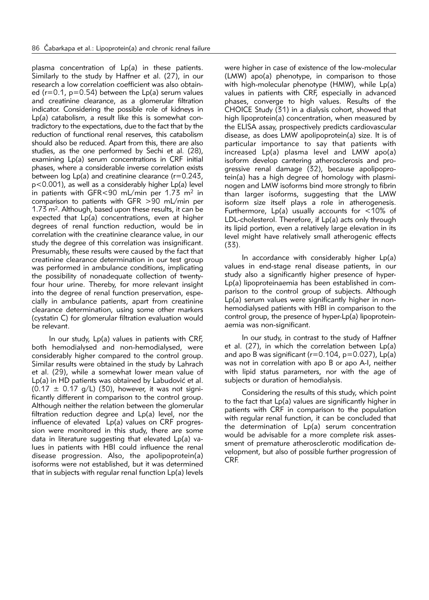plasma concentration of Lp(a) in these patients. Similarly to the study by Haffner et al. (27), in our research a low correlation coefficient was also obtained ( $r=0.1$ ,  $p=0.54$ ) between the Lp(a) serum values and creatinine clearance, as a glomerular filtration indicator. Considering the possible role of kidneys in  $Lp(a)$  catabolism, a result like this is somewhat contradictory to the expectations, due to the fact that by the reduction of functional renal reserves, this catabolism should also be reduced. Apart from this, there are also studies, as the one performed by Sechi et al. (28), examining Lp(a) serum concentrations in CRF initial phases, where a considerable inverse correlation exists between log Lp(a) and creatinine clearance  $(r=0.243)$ ,  $p$ <0.001), as well as a considerably higher  $Lp(a)$  level in patients with GFR<90 mL/min per 1.73 m2 in comparison to patients with GFR >90 mL/min per 1.73 m2. Although, based upon these results, it can be expected that Lp(a) concentrations, even at higher degrees of renal function reduction, would be in correlation with the creatinine clearance value, in our study the degree of this correlation was insignificant. Presumably, these results were caused by the fact that creatinine clearance determination in our test group was performed in ambulance conditions, implicating the possibility of nonadequate collection of twentyfour hour urine. Thereby, for more relevant insight into the degree of renal function preservation, especially in ambulance patients, apart from creatinine clearance determination, using some other markers (cystatin C) for glomerular filtration evaluation would be relevant.

In our study, Lp(a) values in patients with CRF, both hemodialysed and non-hemodialysed, were considerably higher compared to the control group. Similar results were obtained in the study by Lahrach et al. (29), while a somewhat lower mean value of Lp(a) in HD patients was obtained by Labudović et al.  $(0.17 \pm 0.17 \text{ g/L})$  (30), however, it was not significantly different in comparison to the control group. Although neither the relation between the glomerular filtration reduction degree and Lp(a) level, nor the influence of elevated  $Lp(a)$  values on CRF progression were monitored in this study, there are some data in literature suggesting that elevated Lp(a) values in patients with HBI could influence the renal disease progression. Also, the apolipoprotein(a) isoforms were not established, but it was determined that in subjects with regular renal function Lp(a) levels

were higher in case of existence of the low-molecular (LMW) apo(a) phenotype, in comparison to those with high-molecular phenotype (HMW), while Lp(a) values in patients with CRF, especially in advanced phases, converge to high values. Results of the CHOICE Study (31) in a dialysis cohort, showed that high lipoprotein(a) concentration, when measured by the ELISA assay, prospectively predicts cardiovascular disease, as does LMW apolipoprotein(a) size. It is of particular importance to say that patients with increased Lp(a) plasma level and LMW apo(a) isoform develop cantering atherosclerosis and progressive renal damage (32), because apolipoprotein(a) has a high degree of homology with plasminogen and LMW isoforms bind more strongly to fibrin than larger isoforms, suggesting that the LMW isoform size itself plays a role in atherogenesis. Furthermore,  $Lp(a)$  usually accounts for  $\lt 10\%$  of LDL-cholesterol. Therefore, if Lp(a) acts only through its lipid portion, even a relatively large elevation in its level might have relatively small atherogenic effects (33).

In accordance with considerably higher Lp(a) values in end-stage renal disease patients, in our study also a significantly higher presence of hyper- $Lp(a)$  lipoproteinaemia has been established in comparison to the control group of subjects. Although Lp(a) serum values were significantly higher in nonhemodialysed patients with HBI in comparison to the control group, the presence of hyper- $Lp(a)$  lipoproteinaemia was non-significant.

In our study, in contrast to the study of Haffner et al. (27), in which the correlation between Lp(a) and apo B was significant ( $r=0.104$ ,  $p=0.027$ ), Lp(a) was not in correlation with apo B or apo A-I, neither with lipid status parameters, nor with the age of subjects or duration of hemodialysis.

Considering the results of this study, which point to the fact that Lp(a) values are significantly higher in patients with CRF in comparison to the population with regular renal function, it can be concluded that the determination of Lp(a) serum concentration would be advisable for a more complete risk assessment of premature atherosclerotic modification development, but also of possible further progression of CRF.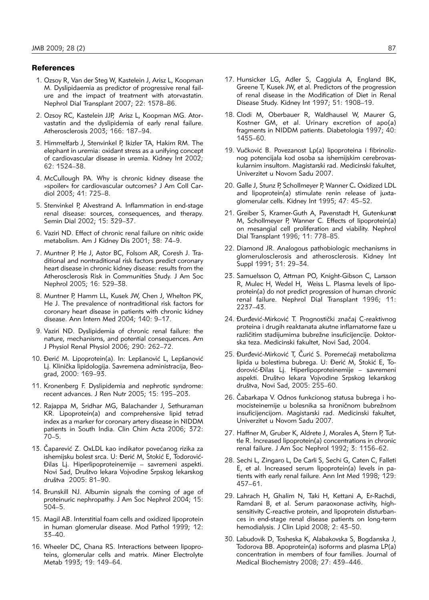### **References**

- 1. Ozsoy R, Van der Steg W, Kastelein J, Arisz L, Koopman M. Dyslipidaemia as predictor of progressive renal failure and the impact of treatment with atorvastatin. Nephrol Dial Transplant 2007; 22: 1578–86.
- 2. Ozsoy RC, Kastelein JJP, Arisz L, Koopman MG. Atorvastatin and the dyslipidemia of early renal failure. Atherosclerosis 2003; 166: 187–94.
- 3. Himmelfarb J, Stenvinkel P, Ikizler TA, Hakim RM. The elephant in uremia: oxidant stress as a unifying concept of cardiovascular disease in uremia. Kidney Int 2002; 62: 1524–38.
- 4. McCullough PA. Why is chronic kidney disease the »spoiler« for cardiovascular outcomes? J Am Coll Car diol 2003; 41: 725–8.
- 5. Stenvinkel P, Alvestrand A. Inflammation in end-stage renal disease: sources, consequences, and therapy. Semin Dial 2002; 15: 329–37.
- 6. Vaziri ND. Effect of chronic renal failure on nitric oxide metabolism. Am J Kidney Dis 2001; 38: 74–9.
- 7. Muntner P, He J, Astor BC, Folsom AR, Coresh J. Traditional and nontraditional risk factors predict coronary heart disease in chronic kidney disease: results from the Atherosclerosis Risk in Communities Study. J Am Soc Nephrol 2005; 16: 529–38.
- 8. Muntner P, Hamm LL, Kusek JW, Chen J, Whelton PK, He J. The prevalence of nontraditional risk factors for coronary heart disease in patients with chronic kidney disease. Ann Intern Med 2004; 140: 9–17.
- 9. Vaziri ND. Dyslipidemia of chronic renal failure: the nature, mechanisms, and potential consequences. Am J Physiol Renal Physiol 2006; 290: 262–72.
- 10. Đerić M. Lipoprotein(a). In: Lepšanović L, Lepšanović Lj. Klinička lipidologija. Savremena administracija, Beograd, 2000: 169–93.
- 11. Kronenberg F. Dyslipidemia and nephrotic syndrome: recent advances. J Ren Nutr 2005; 15: 195–203.
- 12. Rajappa M, Sridhar MG, Balachander J, Sethuraman KR. Lipoprotein(a) and comprehensive lipid tetrad index as a marker for coronary artery disease in NIDDM patients in South India. Clin Chim Acta 2006; 372: 70–5.
- 13. Čaparević Z. OxLDL kao indikator povećanog rizika za ishemijsku bolest srca. U: Đerić M, Stokić E, Todorović-\ilas Lj. Hiperlipoproteinemije – savremeni aspekti. Novi Sad, Društvo lekara Vojvodine Srpskog lekarskog društva 2005: 81-90.
- 14. Brunskill NJ. Albumin signals the coming of age of proteinuric nephropathy. J Am Soc Nephrol 2004; 15: 504–5.
- 15. Magil AB. Interstitial foam cells and oxidized lipoprotein in human glomerular disease. Mod Pathol 1999; 12: 33–40.
- 16. Wheeler DC, Chana RS. Interactions between lipoproteins, glomerular cells and matrix. Miner Electrolyte Metab 1993: 19: 149-64.
- 17. Hunsicker LG, Adler S, Caggiula A, England BK, Greene T, Kusek JW, et al. Predictors of the progression of renal disease in the Modification of Diet in Renal Disease Study. Kidney Int 1997; 51: 1908–19.
- 18. Clodi M, Oberbauer R, Waldhausel W, Maurer G, Kostner GM, et al. Urinary excretion of apo(a) fragments in NIDDM patients. Diabetologia 1997; 40: 1455–60.
- 19. Vučković B. Povezanost Lp(a) lipoproteina i fibrinoliznog potencijala kod osoba sa ishemijskim cerebrovaskularnim insultom. Magistarski rad. Medicinski fakultet, Univerzitet u Novom Sadu 2007.
- 20. Galle J, Stunz P, Schollmeyer P, Wanner C**.** Oxidized LDL and lipoprotein(a) stimulate renin release of juxtaglomerular cells. Kidney Int 1995; 47: 45–52.
- 21. Greiber S, Kramer-Guth A, Pavenstadt H, Gutenkun**s**t M, Schollmeyer P, Wanner C. Effects of lipoprotein(a) on mesangial cell proliferation and viability. Nephrol Dial Transplant 1996; 11: 778–85.
- 22. Diamond JR. Analogous pathobiologic mechanisms in glomerulosclerosis and atherosclerosis. Kidney Int Suppl 1991; 31: 29–34.
- 23. Samuelsson O, Attman PO, Knight-Gibson C, Larsson R, Mulec H, Wedel H, Weiss L. Plasma levels of lipoprotein(a) do not predict progression of human chronic renal failure. Nephrol Dial Transplant 1996; 11: 2237–43.
- 24. Đurđević-Mirković T. Prognostički značaj C-reaktivnog proteina i drugih reaktanata akutne inflamatorne faze u različitim stadijumima bubrežne insuficijencije. Doktorska teza. Medicinski fakultet, Novi Sad, 2004.
- 25. Đurđević-Mirković T, Čurić S. Poremećaji metabolizma lipida u bolestima bubrega. U: Đerić M, Stokić E, Todorovi}-\ilas Lj. Hiperlipoproteinemije – savremeni aspekti. Društvo lekara Vojvodine Srpskog lekarskog društva, Novi Sad, 2005: 255-60.
- 26. Čabarkapa V. Odnos funkcionog statusa bubrega i homocisteinemije u bolesnika sa hroničnom bubrežnom insuficijencijom. Magistarski rad. Medicinski fakultet, Univerzitet u Novom Sadu 2007.
- 27. Haffner M, Gruber K, Aldrete J, Morales A, Stern P, Tuttle R. Increased lipoprotein(a) concentrations in chronic renal failure. J Am Soc Nephrol 1992; 3: 1156–62.
- 28. Sechi L, Zingaro L, De Carli S, Sechi G, Caten C, Falleti E, et al. Increased serum lipoprotein(a) levels in patients with early renal failure. Ann Int Med 1998; 129: 457–61.
- 29. Lahrach H, Ghalim N, Taki H, Kettani A, Er-Rachdi, Ramdani B, et al. Serum paraoxonase activity, highsensitivity C-reactive protein, and lipoprotein disturbances in end-stage renal disease patients on long-term hemodialysis. J Clin Lipid 2008; 2: 43–50.
- 30. Labudovik D, Tosheska K, Alabakovska S, Bogdanska J, Todorova BB. Apoprotein(a) isoforms and plasma LP(a) concentration in members of four families. Journal of Medical Biochemistry 2008; 27: 439–446.